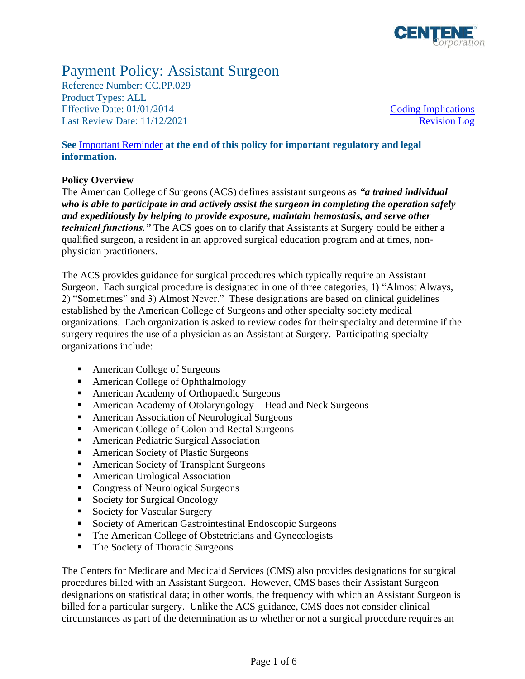

# Payment Policy: Assistant Surgeon

Reference Number: CC.PP.029 Product Types: ALL Effective Date:  $01/01/2014$  [Coding Implications](#page-2-0) Last Review Date: 11/12/2021 [Revision Log](#page-4-0)

**See** [Important Reminder](#page-4-1) **at the end of this policy for important regulatory and legal information.**

## **Policy Overview**

The American College of Surgeons (ACS) defines assistant surgeons as *"a trained individual who is able to participate in and actively assist the surgeon in completing the operation safely and expeditiously by helping to provide exposure, maintain hemostasis, and serve other technical functions."* The ACS goes on to clarify that Assistants at Surgery could be either a qualified surgeon, a resident in an approved surgical education program and at times, nonphysician practitioners.

The ACS provides guidance for surgical procedures which typically require an Assistant Surgeon. Each surgical procedure is designated in one of three categories, 1) "Almost Always, 2) "Sometimes" and 3) Almost Never." These designations are based on clinical guidelines established by the American College of Surgeons and other specialty society medical organizations. Each organization is asked to review codes for their specialty and determine if the surgery requires the use of a physician as an Assistant at Surgery. Participating specialty organizations include:

- American College of Surgeons
- American College of Ophthalmology
- American Academy of Orthopaedic Surgeons
- American Academy of Otolaryngology Head and Neck Surgeons
- American Association of Neurological Surgeons
- American College of Colon and Rectal Surgeons
- American Pediatric Surgical Association
- American Society of Plastic Surgeons
- American Society of Transplant Surgeons
- American Urological Association
- Congress of Neurological Surgeons
- Society for Surgical Oncology
- Society for Vascular Surgery
- Society of American Gastrointestinal Endoscopic Surgeons
- The American College of Obstetricians and Gynecologists
- The Society of Thoracic Surgeons

The Centers for Medicare and Medicaid Services (CMS) also provides designations for surgical procedures billed with an Assistant Surgeon. However, CMS bases their Assistant Surgeon designations on statistical data; in other words, the frequency with which an Assistant Surgeon is billed for a particular surgery. Unlike the ACS guidance, CMS does not consider clinical circumstances as part of the determination as to whether or not a surgical procedure requires an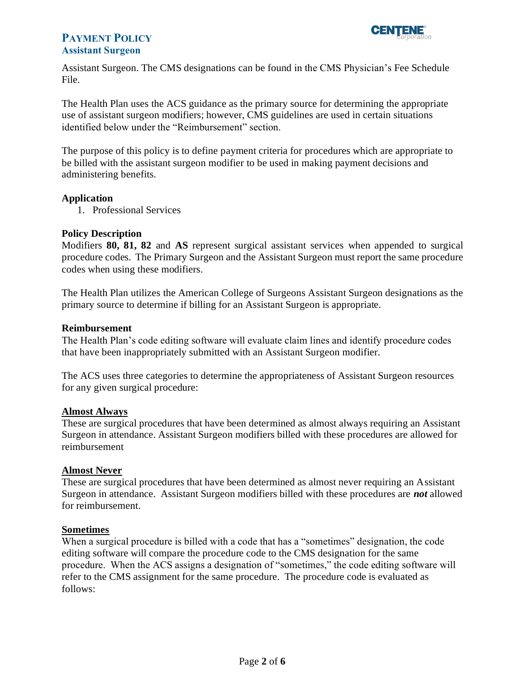

Assistant Surgeon. The CMS designations can be found in the CMS Physician's Fee Schedule File.

The Health Plan uses the ACS guidance as the primary source for determining the appropriate use of assistant surgeon modifiers; however, CMS guidelines are used in certain situations identified below under the "Reimbursement" section.

The purpose of this policy is to define payment criteria for procedures which are appropriate to be billed with the assistant surgeon modifier to be used in making payment decisions and administering benefits.

## **Application**

1. Professional Services

#### **Policy Description**

Modifiers **80, 81, 82** and **AS** represent surgical assistant services when appended to surgical procedure codes. The Primary Surgeon and the Assistant Surgeon must report the same procedure codes when using these modifiers.

The Health Plan utilizes the American College of Surgeons Assistant Surgeon designations as the primary source to determine if billing for an Assistant Surgeon is appropriate.

#### **Reimbursement**

The Health Plan's code editing software will evaluate claim lines and identify procedure codes that have been inappropriately submitted with an Assistant Surgeon modifier.

The ACS uses three categories to determine the appropriateness of Assistant Surgeon resources for any given surgical procedure:

## **Almost Always**

These are surgical procedures that have been determined as almost always requiring an Assistant Surgeon in attendance. Assistant Surgeon modifiers billed with these procedures are allowed for reimbursement

#### **Almost Never**

These are surgical procedures that have been determined as almost never requiring an Assistant Surgeon in attendance. Assistant Surgeon modifiers billed with these procedures are *not* allowed for reimbursement.

#### **Sometimes**

When a surgical procedure is billed with a code that has a "sometimes" designation, the code editing software will compare the procedure code to the CMS designation for the same procedure. When the ACS assigns a designation of "sometimes," the code editing software will refer to the CMS assignment for the same procedure. The procedure code is evaluated as follows: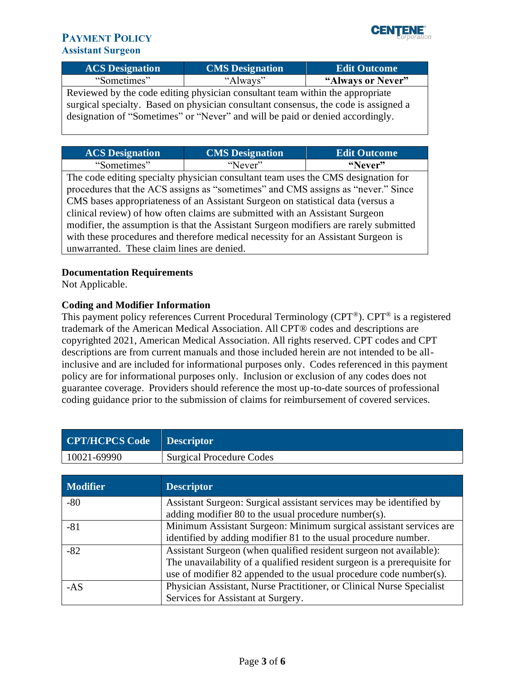

| <b>ACS</b> Designation | <b>CMS</b> Designation | <b>Edit Outcome</b> |
|------------------------|------------------------|---------------------|
| "Sometimes"            | "Always"               | "Always or Never"   |

Reviewed by the code editing physician consultant team within the appropriate surgical specialty. Based on physician consultant consensus, the code is assigned a designation of "Sometimes" or "Never" and will be paid or denied accordingly.

| <b>ACS Designation</b> | <b>CMS</b> Designation | <b>Edit Outcome</b> |
|------------------------|------------------------|---------------------|
| "Sometimes"            | "Never"                | "Never"             |

The code editing specialty physician consultant team uses the CMS designation for procedures that the ACS assigns as "sometimes" and CMS assigns as "never." Since CMS bases appropriateness of an Assistant Surgeon on statistical data (versus a clinical review) of how often claims are submitted with an Assistant Surgeon modifier, the assumption is that the Assistant Surgeon modifiers are rarely submitted with these procedures and therefore medical necessity for an Assistant Surgeon is unwarranted. These claim lines are denied.

## **Documentation Requirements**

Not Applicable.

## <span id="page-2-0"></span>**Coding and Modifier Information**

This payment policy references Current Procedural Terminology (CPT®). CPT® is a registered trademark of the American Medical Association. All CPT® codes and descriptions are copyrighted 2021, American Medical Association. All rights reserved. CPT codes and CPT descriptions are from current manuals and those included herein are not intended to be allinclusive and are included for informational purposes only. Codes referenced in this payment policy are for informational purposes only. Inclusion or exclusion of any codes does not guarantee coverage. Providers should reference the most up-to-date sources of professional coding guidance prior to the submission of claims for reimbursement of covered services.

| CPT/HCPCS Code Descriptor |                          |
|---------------------------|--------------------------|
| 10021-69990               | Surgical Procedure Codes |

| <b>Modifier</b> | <b>Descriptor</b>                                                        |
|-----------------|--------------------------------------------------------------------------|
| $-80$           | Assistant Surgeon: Surgical assistant services may be identified by      |
|                 | adding modifier 80 to the usual procedure number(s).                     |
| $-81$           | Minimum Assistant Surgeon: Minimum surgical assistant services are       |
|                 | identified by adding modifier 81 to the usual procedure number.          |
| $-82$           | Assistant Surgeon (when qualified resident surgeon not available):       |
|                 | The unavailability of a qualified resident surgeon is a prerequisite for |
|                 | use of modifier 82 appended to the usual procedure code number(s).       |
| $-AS$           | Physician Assistant, Nurse Practitioner, or Clinical Nurse Specialist    |
|                 | Services for Assistant at Surgery.                                       |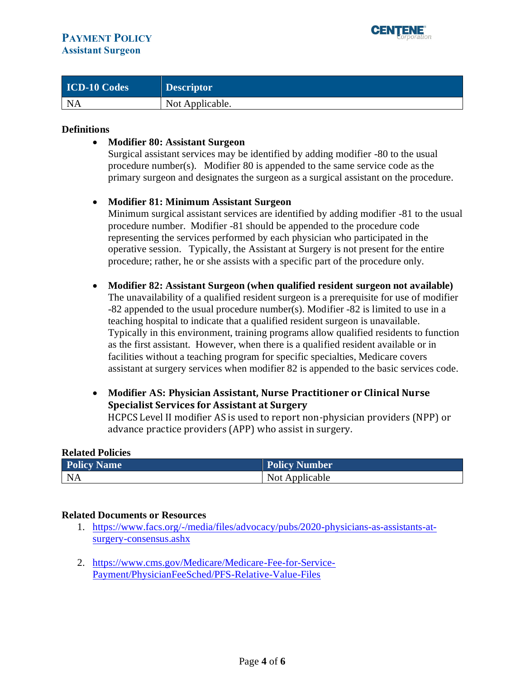

| <b>ICD-10 Codes</b> | <b>Descriptor</b> |
|---------------------|-------------------|
| NA                  | Not Applicable.   |

#### **Definitions**

### • **Modifier 80: Assistant Surgeon**

Surgical assistant services may be identified by adding modifier -80 to the usual procedure number(s). Modifier 80 is appended to the same service code as the primary surgeon and designates the surgeon as a surgical assistant on the procedure.

#### • **Modifier 81: Minimum Assistant Surgeon**

Minimum surgical assistant services are identified by adding modifier -81 to the usual procedure number. Modifier -81 should be appended to the procedure code representing the services performed by each physician who participated in the operative session. Typically, the Assistant at Surgery is not present for the entire procedure; rather, he or she assists with a specific part of the procedure only.

- **Modifier 82: Assistant Surgeon (when qualified resident surgeon not available)**  The unavailability of a qualified resident surgeon is a prerequisite for use of modifier -82 appended to the usual procedure number(s). Modifier -82 is limited to use in a teaching hospital to indicate that a qualified resident surgeon is unavailable. Typically in this environment, training programs allow qualified residents to function as the first assistant. However, when there is a qualified resident available or in facilities without a teaching program for specific specialties, Medicare covers assistant at surgery services when modifier 82 is appended to the basic services code.
- **Modifier AS: Physician Assistant, Nurse Practitioner or Clinical Nurse Specialist Services for Assistant at Surgery**

HCPCS Level II modifier AS is used to report non-physician providers (NPP) or advance practice providers (APP) who assist in surgery.

#### **Related Policies**

| <b>Policy Name</b>          | <b>Policy Number</b> |
|-----------------------------|----------------------|
| $\overline{\phantom{a}}$ NA | Not Applicable       |

#### **Related Documents or Resources**

- 1. [https://www.facs.org/-/media/files/advocacy/pubs/2020-physicians-as-assistants-at](https://www.facs.org/-/media/files/advocacy/pubs/2020-physicians-as-assistants-at-surgery-consensus.ashx)[surgery-consensus.ashx](https://www.facs.org/-/media/files/advocacy/pubs/2020-physicians-as-assistants-at-surgery-consensus.ashx)
- 2. [https://www.cms.gov/Medicare/Medicare-Fee-for-Service-](https://www.cms.gov/Medicare/Medicare-Fee-for-Service-Payment/PhysicianFeeSched/PFS-Relative-Value-Files)[Payment/PhysicianFeeSched/PFS-Relative-Value-Files](https://www.cms.gov/Medicare/Medicare-Fee-for-Service-Payment/PhysicianFeeSched/PFS-Relative-Value-Files)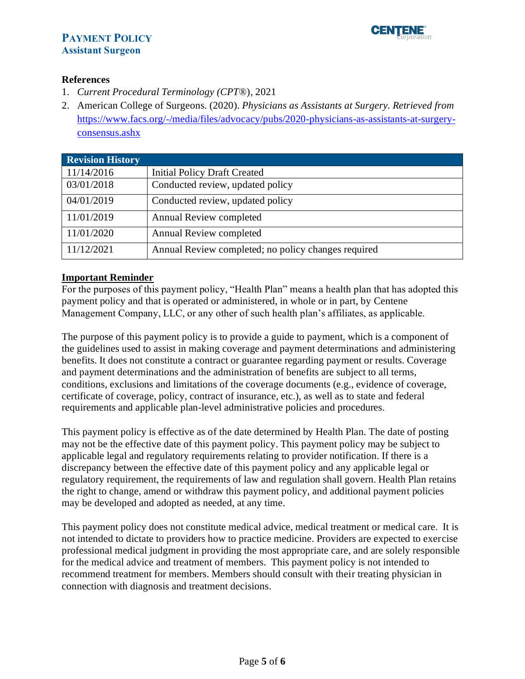

## **References**

- 1. *Current Procedural Terminology (CPT*®), 2021
- 2. American College of Surgeons. (2020). *Physicians as Assistants at Surgery. Retrieved from*  [https://www.facs.org/-/media/files/advocacy/pubs/2020-physicians-as-assistants-at-surgery](https://www.facs.org/-/media/files/advocacy/pubs/2020-physicians-as-assistants-at-surgery-consensus.ashx)[consensus.ashx](https://www.facs.org/-/media/files/advocacy/pubs/2020-physicians-as-assistants-at-surgery-consensus.ashx)

<span id="page-4-0"></span>

| <b>Revision History</b> |                                                     |
|-------------------------|-----------------------------------------------------|
| 11/14/2016              | <b>Initial Policy Draft Created</b>                 |
| 03/01/2018              | Conducted review, updated policy                    |
| 04/01/2019              | Conducted review, updated policy                    |
| 11/01/2019              | Annual Review completed                             |
| 11/01/2020              | Annual Review completed                             |
| 11/12/2021              | Annual Review completed; no policy changes required |

## <span id="page-4-1"></span>**Important Reminder**

For the purposes of this payment policy, "Health Plan" means a health plan that has adopted this payment policy and that is operated or administered, in whole or in part, by Centene Management Company, LLC, or any other of such health plan's affiliates, as applicable.

The purpose of this payment policy is to provide a guide to payment, which is a component of the guidelines used to assist in making coverage and payment determinations and administering benefits. It does not constitute a contract or guarantee regarding payment or results. Coverage and payment determinations and the administration of benefits are subject to all terms, conditions, exclusions and limitations of the coverage documents (e.g., evidence of coverage, certificate of coverage, policy, contract of insurance, etc.), as well as to state and federal requirements and applicable plan-level administrative policies and procedures.

This payment policy is effective as of the date determined by Health Plan. The date of posting may not be the effective date of this payment policy. This payment policy may be subject to applicable legal and regulatory requirements relating to provider notification. If there is a discrepancy between the effective date of this payment policy and any applicable legal or regulatory requirement, the requirements of law and regulation shall govern. Health Plan retains the right to change, amend or withdraw this payment policy, and additional payment policies may be developed and adopted as needed, at any time.

This payment policy does not constitute medical advice, medical treatment or medical care. It is not intended to dictate to providers how to practice medicine. Providers are expected to exercise professional medical judgment in providing the most appropriate care, and are solely responsible for the medical advice and treatment of members. This payment policy is not intended to recommend treatment for members. Members should consult with their treating physician in connection with diagnosis and treatment decisions.